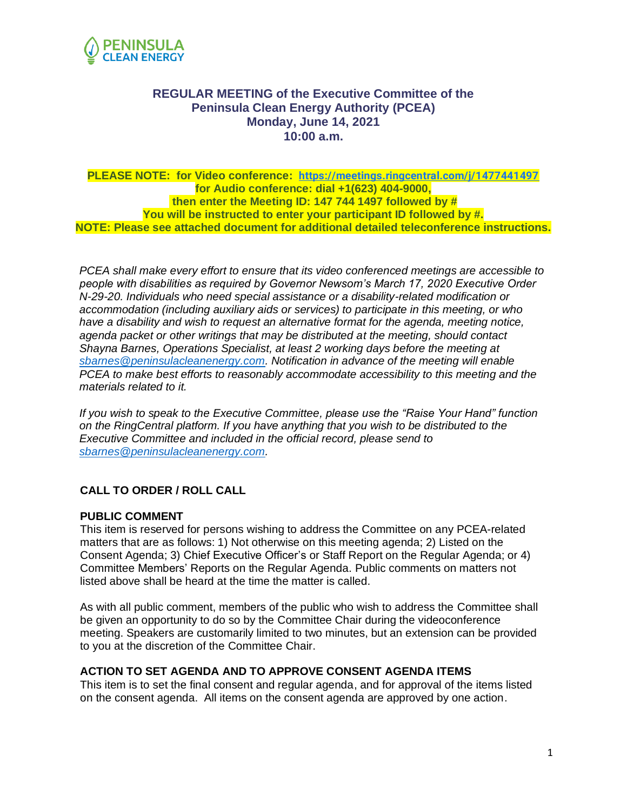

# **REGULAR MEETING of the Executive Committee of the Peninsula Clean Energy Authority (PCEA) Monday, June 14, 2021 10:00 a.m.**

#### **PLEASE NOTE: for Video conference: [https://meetings.ringcentral.com/j/1477441497](https://www.google.com/url?q=https://meetings.ringcentral.com/j/1477441497&sa=D&source=calendar&ust=1623180316023000&usg=AOvVaw1dOftrUC1LC8iP3q1snDw3) for Audio conference: dial +1(623) 404-9000, then enter the Meeting ID: 147 744 1497 followed by # You will be instructed to enter your participant ID followed by #. NOTE: Please see attached document for additional detailed teleconference instructions.**

*PCEA shall make every effort to ensure that its video conferenced meetings are accessible to people with disabilities as required by Governor Newsom's March 17, 2020 Executive Order N-29-20. Individuals who need special assistance or a disability-related modification or accommodation (including auxiliary aids or services) to participate in this meeting, or who have a disability and wish to request an alternative format for the agenda, meeting notice, agenda packet or other writings that may be distributed at the meeting, should contact Shayna Barnes, Operations Specialist, at least 2 working days before the meeting at [sbarnes@peninsulacleanenergy.com.](mailto:sbarnes@peninsulacleanenergy.com) Notification in advance of the meeting will enable PCEA to make best efforts to reasonably accommodate accessibility to this meeting and the materials related to it.*

*If you wish to speak to the Executive Committee, please use the "Raise Your Hand" function on the RingCentral platform. If you have anything that you wish to be distributed to the Executive Committee and included in the official record, please send to [sbarnes@peninsulacleanenergy.com.](mailto:sbarnes@peninsulacleanenergy.com)*

## **CALL TO ORDER / ROLL CALL**

### **PUBLIC COMMENT**

This item is reserved for persons wishing to address the Committee on any PCEA-related matters that are as follows: 1) Not otherwise on this meeting agenda; 2) Listed on the Consent Agenda; 3) Chief Executive Officer's or Staff Report on the Regular Agenda; or 4) Committee Members' Reports on the Regular Agenda. Public comments on matters not listed above shall be heard at the time the matter is called.

As with all public comment, members of the public who wish to address the Committee shall be given an opportunity to do so by the Committee Chair during the videoconference meeting. Speakers are customarily limited to two minutes, but an extension can be provided to you at the discretion of the Committee Chair.

### **ACTION TO SET AGENDA AND TO APPROVE CONSENT AGENDA ITEMS**

This item is to set the final consent and regular agenda, and for approval of the items listed on the consent agenda. All items on the consent agenda are approved by one action.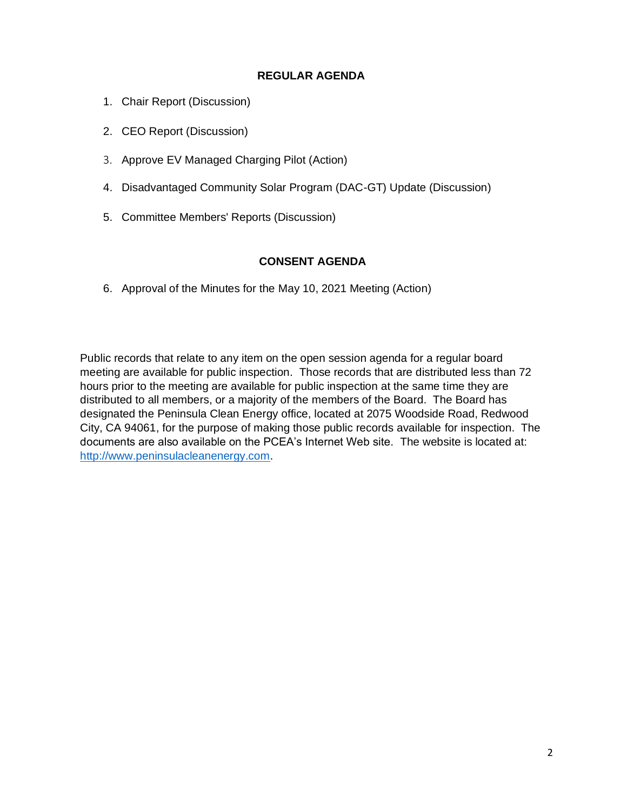### **REGULAR AGENDA**

- 1. Chair Report (Discussion)
- 2. CEO Report (Discussion)
- 3. Approve EV Managed Charging Pilot (Action)
- 4. Disadvantaged Community Solar Program (DAC-GT) Update (Discussion)
- 5. Committee Members' Reports (Discussion)

### **CONSENT AGENDA**

6. Approval of the Minutes for the May 10, 2021 Meeting (Action)

Public records that relate to any item on the open session agenda for a regular board meeting are available for public inspection. Those records that are distributed less than 72 hours prior to the meeting are available for public inspection at the same time they are distributed to all members, or a majority of the members of the Board. The Board has designated the Peninsula Clean Energy office, located at 2075 Woodside Road, Redwood City, CA 94061, for the purpose of making those public records available for inspection. The documents are also available on the PCEA's Internet Web site. The website is located at: [http://www.peninsulacleanenergy.com.](http://www.peninsulacleanenergy.com/)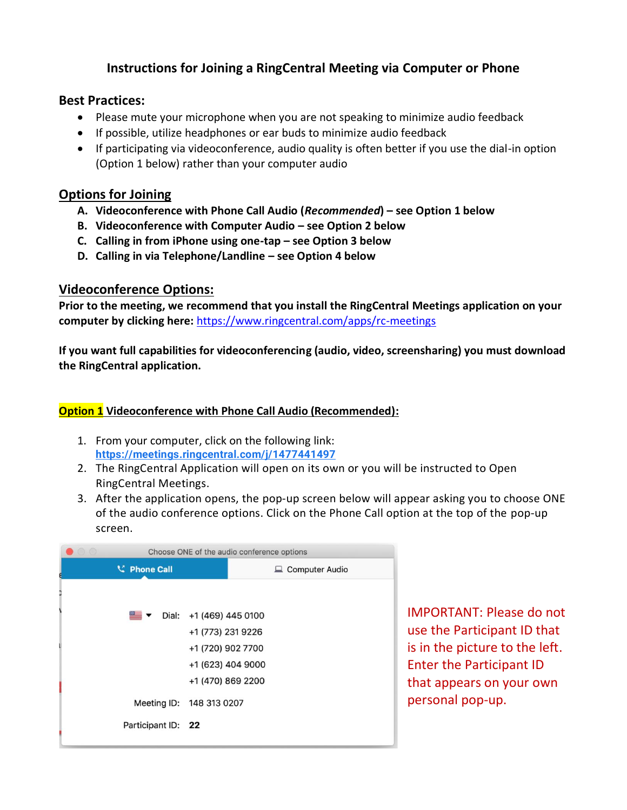# **Instructions for Joining a RingCentral Meeting via Computer or Phone**

# **Best Practices:**

- Please mute your microphone when you are not speaking to minimize audio feedback
- If possible, utilize headphones or ear buds to minimize audio feedback
- If participating via videoconference, audio quality is often better if you use the dial-in option (Option 1 below) rather than your computer audio

# **Options for Joining**

- **A. Videoconference with Phone Call Audio (***Recommended***) – see Option 1 below**
- **B. Videoconference with Computer Audio – see Option 2 below**
- **C. Calling in from iPhone using one-tap – see Option 3 below**
- **D. Calling in via Telephone/Landline – see Option 4 below**

# **Videoconference Options:**

**Prior to the meeting, we recommend that you install the RingCentral Meetings application on your computer by clicking here:** <https://www.ringcentral.com/apps/rc-meetings>

**If you want full capabilities for videoconferencing (audio, video, screensharing) you must download the RingCentral application.** 

# **Option 1 Videoconference with Phone Call Audio (Recommended):**

- 1. From your computer, click on the following link: **[https://meetings.ringcentral.com/j/1477441497](https://www.google.com/url?q=https://meetings.ringcentral.com/j/1477441497&sa=D&source=calendar&ust=1623180316023000&usg=AOvVaw1dOftrUC1LC8iP3q1snDw3)**
- 2. The RingCentral Application will open on its own or you will be instructed to Open RingCentral Meetings.
- 3. After the application opens, the pop-up screen below will appear asking you to choose ONE of the audio conference options. Click on the Phone Call option at the top of the pop-up screen.

|   | $\bigcirc$ $\bigcirc$ | Choose ONE of the audio conference options |                                                              |                  |
|---|-----------------------|--------------------------------------------|--------------------------------------------------------------|------------------|
| e |                       | <b>C</b> Phone Call                        |                                                              | □ Computer Audio |
|   |                       |                                            |                                                              |                  |
|   |                       |                                            | $\blacksquare$ $\blacktriangleright$ Dial: +1 (469) 445 0100 |                  |
|   |                       |                                            | +1 (773) 231 9226                                            |                  |
|   |                       |                                            | +1 (720) 902 7700                                            |                  |
|   |                       |                                            | +1 (623) 404 9000                                            |                  |
|   |                       |                                            | +1 (470) 869 2200                                            |                  |
|   |                       |                                            | Meeting ID: 148 313 0207                                     |                  |
|   |                       | Participant ID: 22                         |                                                              |                  |

IMPORTANT: Please do not use the Participant ID that is in the picture to the left. Enter the Participant ID that appears on your own personal pop-up.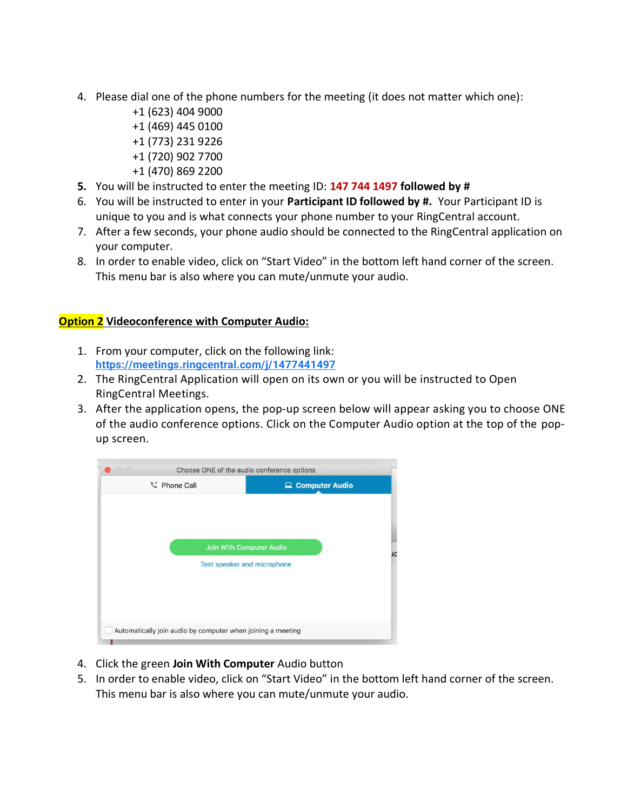- 4. Please dial one of the phone numbers for the meeting (it does not matter which one):
	- +1 (623) 404 9000 +1 (469) 445 0100 +1 (773) 231 9226 +1 (720) 902 7700
	- +1 (470) 869 2200
- **5.** You will be instructed to enter the meeting ID: **147 744 1497 followed by #**
- 6. You will be instructed to enter in your **Participant ID followed by #.** Your Participant ID is unique to you and is what connects your phone number to your RingCentral account.
- 7. After a few seconds, your phone audio should be connected to the RingCentral application on your computer.
- 8. In order to enable video, click on "Start Video" in the bottom left hand corner of the screen. This menu bar is also where you can mute/unmute your audio.

## **Option 2 Videoconference with Computer Audio:**

- 1. From your computer, click on the following link: **[https://meetings.ringcentral.com/j/1477441497](https://www.google.com/url?q=https://meetings.ringcentral.com/j/1477441497&sa=D&source=calendar&ust=1623180316023000&usg=AOvVaw1dOftrUC1LC8iP3q1snDw3)**
- 2. The RingCentral Application will open on its own or you will be instructed to Open RingCentral Meetings.
- 3. After the application opens, the pop-up screen below will appear asking you to choose ONE of the audio conference options. Click on the Computer Audio option at the top of the popup screen.



- 4. Click the green **Join With Computer** Audio button
- 5. In order to enable video, click on "Start Video" in the bottom left hand corner of the screen. This menu bar is also where you can mute/unmute your audio.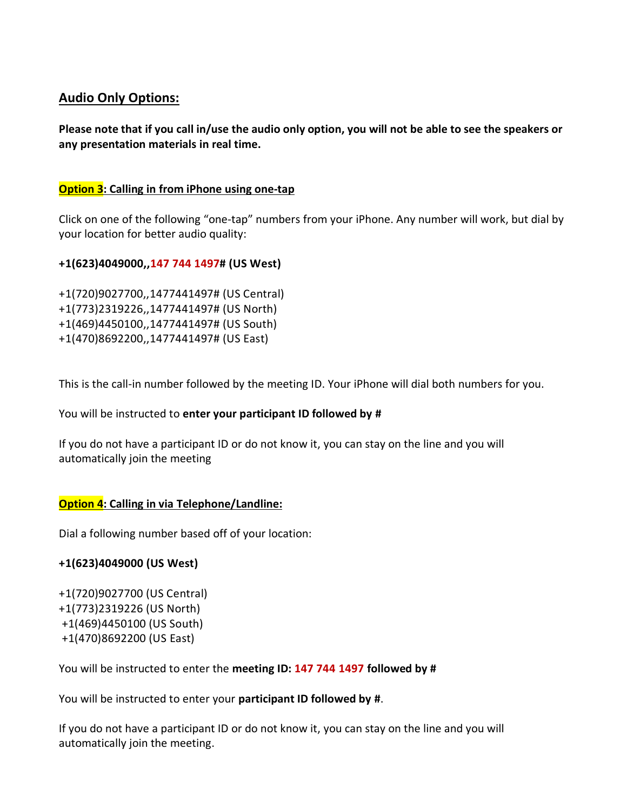# **Audio Only Options:**

**Please note that if you call in/use the audio only option, you will not be able to see the speakers or any presentation materials in real time.**

## **Option 3: Calling in from iPhone using one-tap**

Click on one of the following "one-tap" numbers from your iPhone. Any number will work, but dial by your location for better audio quality:

## **+1(623)4049000,,147 744 1497# (US West)**

+1(720)9027700,,1477441497# (US Central) +1(773)2319226,,1477441497# (US North) +1(469)4450100,,1477441497# (US South) +1(470)8692200,,1477441497# (US East)

This is the call-in number followed by the meeting ID. Your iPhone will dial both numbers for you.

You will be instructed to **enter your participant ID followed by #**

If you do not have a participant ID or do not know it, you can stay on the line and you will automatically join the meeting

# **Option 4: Calling in via Telephone/Landline:**

Dial a following number based off of your location:

## **+1(623)4049000 (US West)**

```
+1(720)9027700 (US Central) 
+1(773)2319226 (US North)
+1(469)4450100 (US South)
+1(470)8692200 (US East)
```
You will be instructed to enter the **meeting ID: 147 744 1497 followed by #**

You will be instructed to enter your **participant ID followed by #**.

If you do not have a participant ID or do not know it, you can stay on the line and you will automatically join the meeting.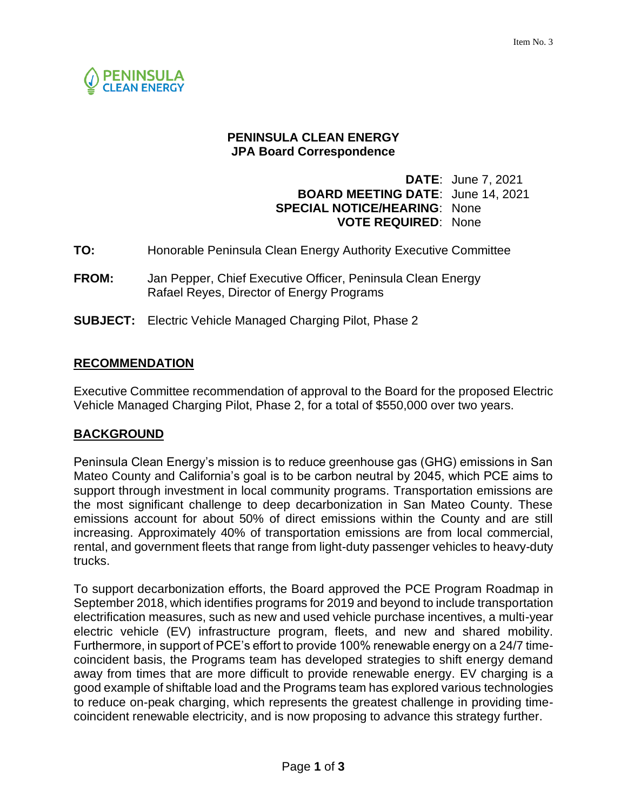

## **PENINSULA CLEAN ENERGY JPA Board Correspondence**

# **DATE**: June 7, 2021 **BOARD MEETING DATE**: June 14, 2021 **SPECIAL NOTICE/HEARING**: None **VOTE REQUIRED**: None

- **TO:** Honorable Peninsula Clean Energy Authority Executive Committee
- **FROM:** Jan Pepper, Chief Executive Officer, Peninsula Clean Energy Rafael Reyes, Director of Energy Programs
- **SUBJECT:** Electric Vehicle Managed Charging Pilot, Phase 2

## **RECOMMENDATION**

Executive Committee recommendation of approval to the Board for the proposed Electric Vehicle Managed Charging Pilot, Phase 2, for a total of \$550,000 over two years.

## **BACKGROUND**

Peninsula Clean Energy's mission is to reduce greenhouse gas (GHG) emissions in San Mateo County and California's goal is to be carbon neutral by 2045, which PCE aims to support through investment in local community programs. Transportation emissions are the most significant challenge to deep decarbonization in San Mateo County. These emissions account for about 50% of direct emissions within the County and are still increasing. Approximately 40% of transportation emissions are from local commercial, rental, and government fleets that range from light-duty passenger vehicles to heavy-duty trucks.

To support decarbonization efforts, the Board approved the PCE Program Roadmap in September 2018, which identifies programs for 2019 and beyond to include transportation electrification measures, such as new and used vehicle purchase incentives, a multi-year electric vehicle (EV) infrastructure program, fleets, and new and shared mobility. Furthermore, in support of PCE's effort to provide 100% renewable energy on a 24/7 timecoincident basis, the Programs team has developed strategies to shift energy demand away from times that are more difficult to provide renewable energy. EV charging is a good example of shiftable load and the Programs team has explored various technologies to reduce on-peak charging, which represents the greatest challenge in providing timecoincident renewable electricity, and is now proposing to advance this strategy further.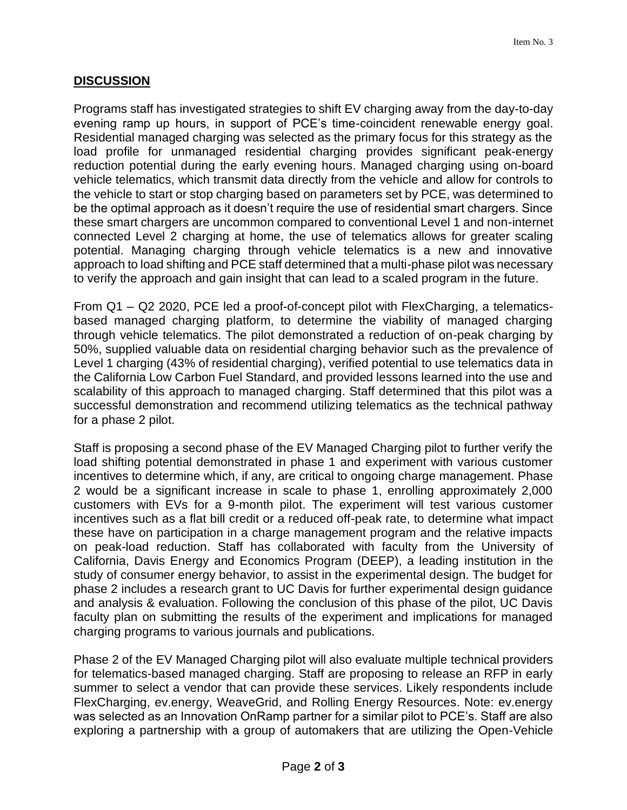# **DISCUSSION**

Programs staff has investigated strategies to shift EV charging away from the day-to-day evening ramp up hours, in support of PCE's time-coincident renewable energy goal. Residential managed charging was selected as the primary focus for this strategy as the load profile for unmanaged residential charging provides significant peak-energy reduction potential during the early evening hours. Managed charging using on-board vehicle telematics, which transmit data directly from the vehicle and allow for controls to the vehicle to start or stop charging based on parameters set by PCE, was determined to be the optimal approach as it doesn't require the use of residential smart chargers. Since these smart chargers are uncommon compared to conventional Level 1 and non-internet connected Level 2 charging at home, the use of telematics allows for greater scaling potential. Managing charging through vehicle telematics is a new and innovative approach to load shifting and PCE staff determined that a multi-phase pilot was necessary to verify the approach and gain insight that can lead to a scaled program in the future.

From Q1 – Q2 2020, PCE led a proof-of-concept pilot with FlexCharging, a telematicsbased managed charging platform, to determine the viability of managed charging through vehicle telematics. The pilot demonstrated a reduction of on-peak charging by 50%, supplied valuable data on residential charging behavior such as the prevalence of Level 1 charging (43% of residential charging), verified potential to use telematics data in the California Low Carbon Fuel Standard, and provided lessons learned into the use and scalability of this approach to managed charging. Staff determined that this pilot was a successful demonstration and recommend utilizing telematics as the technical pathway for a phase 2 pilot.

Staff is proposing a second phase of the EV Managed Charging pilot to further verify the load shifting potential demonstrated in phase 1 and experiment with various customer incentives to determine which, if any, are critical to ongoing charge management. Phase 2 would be a significant increase in scale to phase 1, enrolling approximately 2,000 customers with EVs for a 9-month pilot. The experiment will test various customer incentives such as a flat bill credit or a reduced off-peak rate, to determine what impact these have on participation in a charge management program and the relative impacts on peak-load reduction. Staff has collaborated with faculty from the University of California, Davis Energy and Economics Program (DEEP), a leading institution in the study of consumer energy behavior, to assist in the experimental design. The budget for phase 2 includes a research grant to UC Davis for further experimental design guidance and analysis & evaluation. Following the conclusion of this phase of the pilot, UC Davis faculty plan on submitting the results of the experiment and implications for managed charging programs to various journals and publications.

Phase 2 of the EV Managed Charging pilot will also evaluate multiple technical providers for telematics-based managed charging. Staff are proposing to release an RFP in early summer to select a vendor that can provide these services. Likely respondents include FlexCharging, ev.energy, WeaveGrid, and Rolling Energy Resources. Note: ev.energy was selected as an Innovation OnRamp partner for a similar pilot to PCE's. Staff are also exploring a partnership with a group of automakers that are utilizing the Open-Vehicle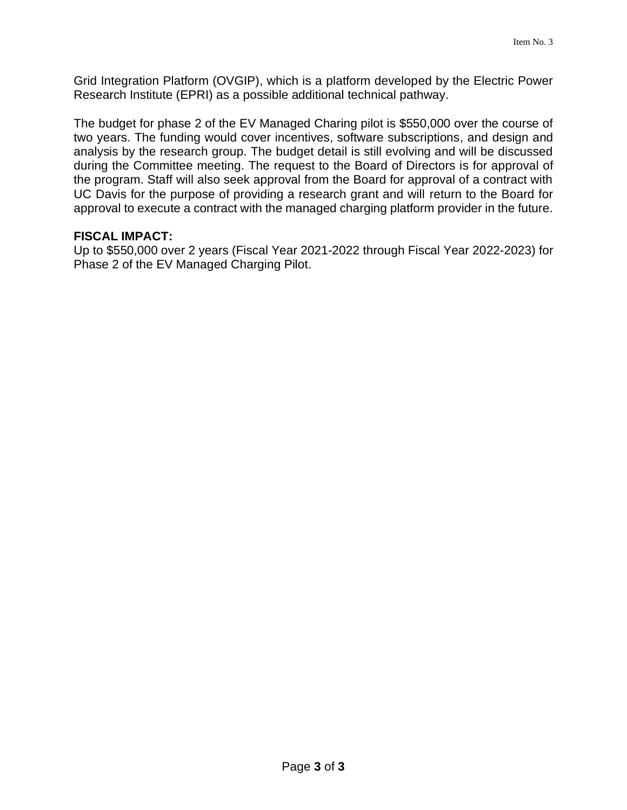Grid Integration Platform (OVGIP), which is a platform developed by the Electric Power Research Institute (EPRI) as a possible additional technical pathway.

The budget for phase 2 of the EV Managed Charing pilot is \$550,000 over the course of two years. The funding would cover incentives, software subscriptions, and design and analysis by the research group. The budget detail is still evolving and will be discussed during the Committee meeting. The request to the Board of Directors is for approval of the program. Staff will also seek approval from the Board for approval of a contract with UC Davis for the purpose of providing a research grant and will return to the Board for approval to execute a contract with the managed charging platform provider in the future.

### **FISCAL IMPACT:**

Up to \$550,000 over 2 years (Fiscal Year 2021-2022 through Fiscal Year 2022-2023) for Phase 2 of the EV Managed Charging Pilot.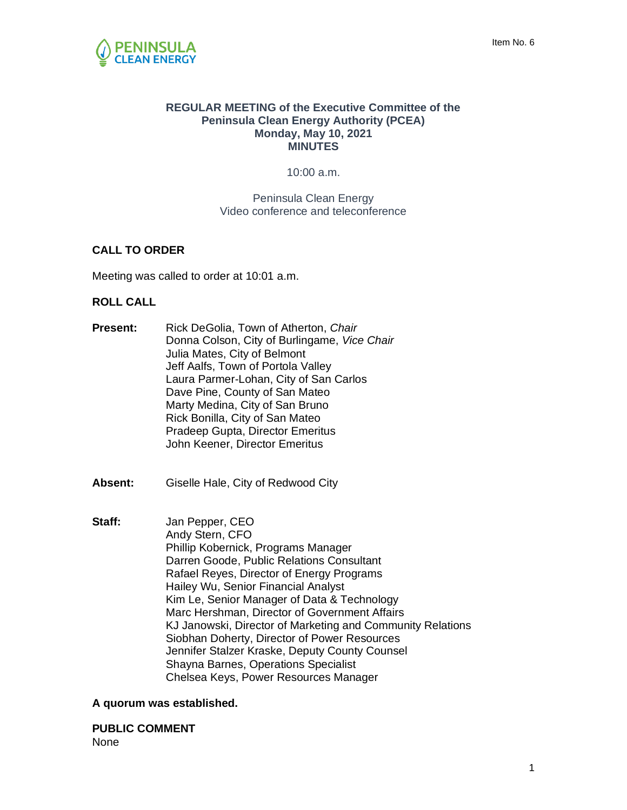#### **REGULAR MEETING of the Executive Committee of the Peninsula Clean Energy Authority (PCEA) Monday, May 10, 2021 MINUTES**

10:00 a.m.

Peninsula Clean Energy Video conference and teleconference

### **CALL TO ORDER**

Meeting was called to order at 10:01 a.m.

### **ROLL CALL**

- **Present:** Rick DeGolia, Town of Atherton, *Chair* Donna Colson, City of Burlingame, *Vice Chair* Julia Mates, City of Belmont Jeff Aalfs, Town of Portola Valley Laura Parmer-Lohan, City of San Carlos Dave Pine, County of San Mateo Marty Medina, City of San Bruno Rick Bonilla, City of San Mateo Pradeep Gupta, Director Emeritus John Keener, Director Emeritus
- **Absent:** Giselle Hale, City of Redwood City
- **Staff:** Jan Pepper, CEO Andy Stern, CFO Phillip Kobernick, Programs Manager Darren Goode, Public Relations Consultant Rafael Reyes, Director of Energy Programs Hailey Wu, Senior Financial Analyst Kim Le, Senior Manager of Data & Technology Marc Hershman, Director of Government Affairs KJ Janowski, Director of Marketing and Community Relations Siobhan Doherty, Director of Power Resources Jennifer Stalzer Kraske, Deputy County Counsel Shayna Barnes, Operations Specialist Chelsea Keys, Power Resources Manager

### **A quorum was established.**

**PUBLIC COMMENT** None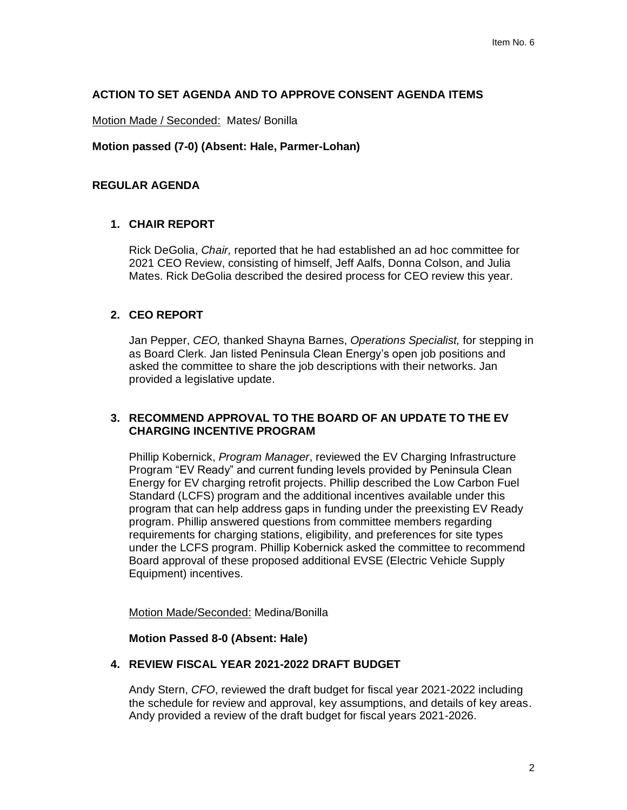#### **ACTION TO SET AGENDA AND TO APPROVE CONSENT AGENDA ITEMS**

Motion Made / Seconded: Mates/ Bonilla

#### **Motion passed (7-0) (Absent: Hale, Parmer-Lohan)**

#### **REGULAR AGENDA**

#### **1. CHAIR REPORT**

Rick DeGolia, *Chair,* reported that he had established an ad hoc committee for 2021 CEO Review, consisting of himself, Jeff Aalfs, Donna Colson, and Julia Mates. Rick DeGolia described the desired process for CEO review this year.

#### **2. CEO REPORT**

Jan Pepper, *CEO,* thanked Shayna Barnes, *Operations Specialist,* for stepping in as Board Clerk. Jan listed Peninsula Clean Energy's open job positions and asked the committee to share the job descriptions with their networks. Jan provided a legislative update.

#### **3. RECOMMEND APPROVAL TO THE BOARD OF AN UPDATE TO THE EV CHARGING INCENTIVE PROGRAM**

Phillip Kobernick, *Program Manager*, reviewed the EV Charging Infrastructure Program "EV Ready" and current funding levels provided by Peninsula Clean Energy for EV charging retrofit projects. Phillip described the Low Carbon Fuel Standard (LCFS) program and the additional incentives available under this program that can help address gaps in funding under the preexisting EV Ready program. Phillip answered questions from committee members regarding requirements for charging stations, eligibility, and preferences for site types under the LCFS program. Phillip Kobernick asked the committee to recommend Board approval of these proposed additional EVSE (Electric Vehicle Supply Equipment) incentives.

Motion Made/Seconded: Medina/Bonilla

#### **Motion Passed 8-0 (Absent: Hale)**

#### **4. REVIEW FISCAL YEAR 2021-2022 DRAFT BUDGET**

Andy Stern, *CFO*, reviewed the draft budget for fiscal year 2021-2022 including the schedule for review and approval, key assumptions, and details of key areas. Andy provided a review of the draft budget for fiscal years 2021-2026.